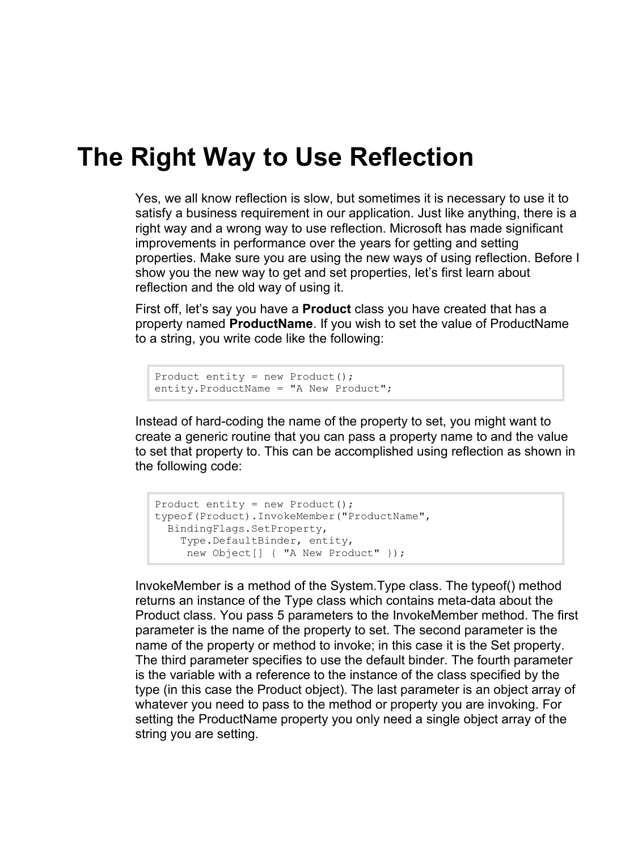## **The Right Way to Use Reflection**

Yes, we all know reflection is slow, but sometimes it is necessary to use it to satisfy a business requirement in our application. Just like anything, there is a right way and a wrong way to use reflection. Microsoft has made significant improvements in performance over the years for getting and setting properties. Make sure you are using the new ways of using reflection. Before I show you the new way to get and set properties, let's first learn about reflection and the old way of using it.

First off, let's say you have a **Product** class you have created that has a property named **ProductName**. If you wish to set the value of ProductName to a string, you write code like the following:

```
Product entity = new Product();
entity.ProductName = "A New Product";
```
Instead of hard-coding the name of the property to set, you might want to create a generic routine that you can pass a property name to and the value to set that property to. This can be accomplished using reflection as shown in the following code:

```
Product entity = new Product();
typeof(Product).InvokeMember("ProductName",
  BindingFlags.SetProperty,
    Type.DefaultBinder, entity, 
     new Object[] { "A New Product" });
```
InvokeMember is a method of the System.Type class. The typeof() method returns an instance of the Type class which contains meta-data about the Product class. You pass 5 parameters to the InvokeMember method. The first parameter is the name of the property to set. The second parameter is the name of the property or method to invoke; in this case it is the Set property. The third parameter specifies to use the default binder. The fourth parameter is the variable with a reference to the instance of the class specified by the type (in this case the Product object). The last parameter is an object array of whatever you need to pass to the method or property you are invoking. For setting the ProductName property you only need a single object array of the string you are setting.